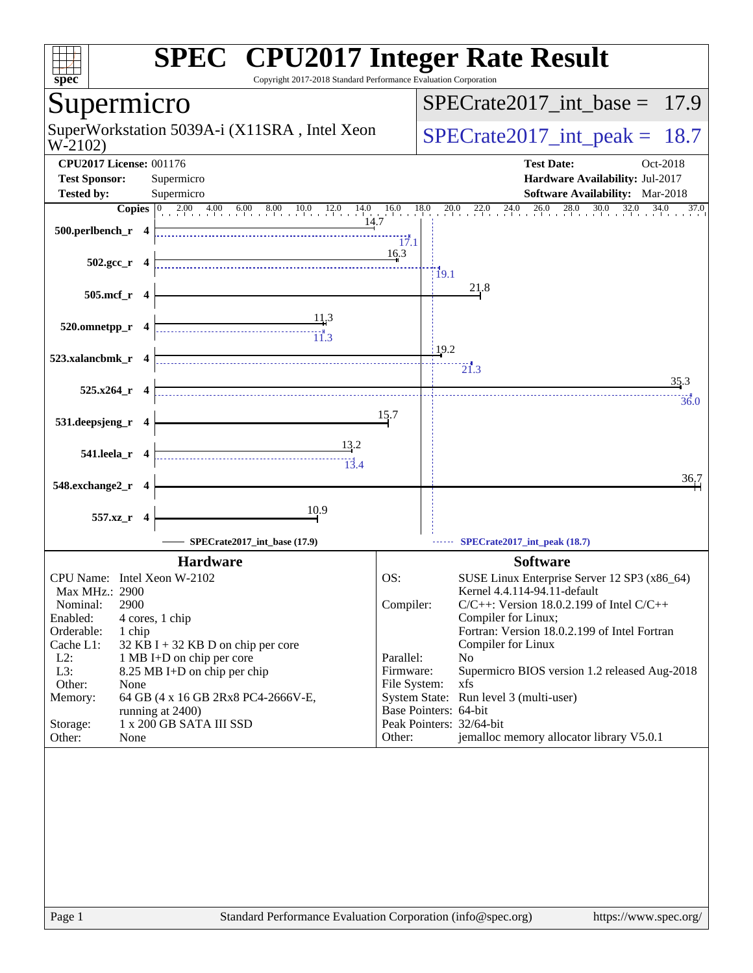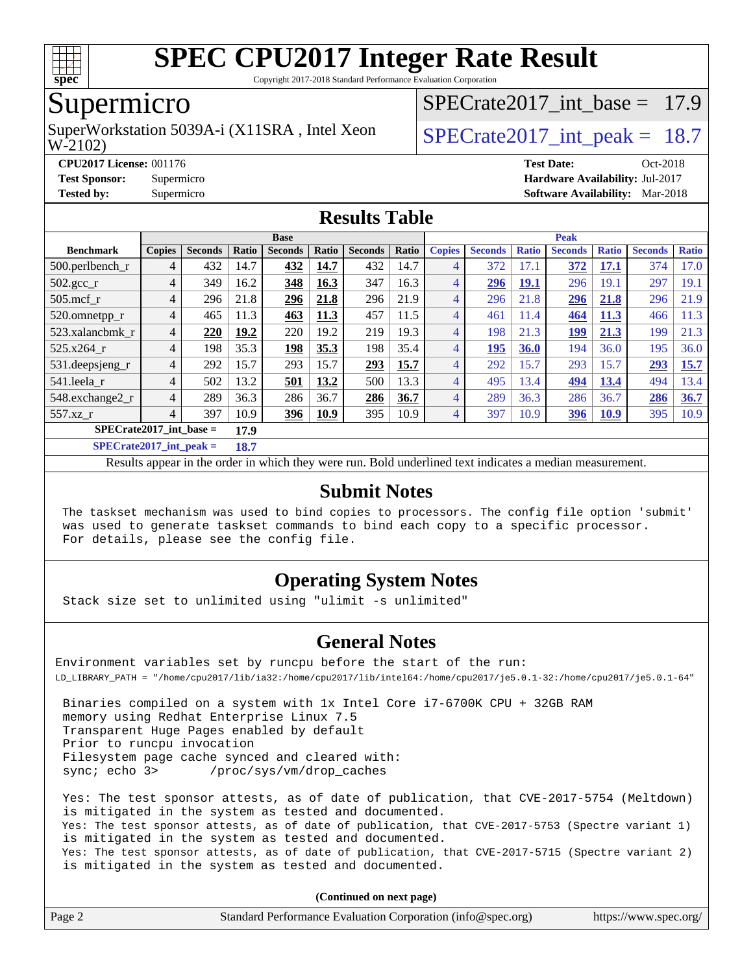

Copyright 2017-2018 Standard Performance Evaluation Corporation

## Supermicro

W-2102) SuperWorkstation 5039A-i (X11SRA, Intel Xeon  $\vert$  SPECrate2017 int peak = 18.7

SPECrate2017 int\_base =  $17.9$ 

#### **[CPU2017 License:](http://www.spec.org/auto/cpu2017/Docs/result-fields.html#CPU2017License)** 001176 **[Test Date:](http://www.spec.org/auto/cpu2017/Docs/result-fields.html#TestDate)** Oct-2018 **[Test Sponsor:](http://www.spec.org/auto/cpu2017/Docs/result-fields.html#TestSponsor)** Supermicro **[Hardware Availability:](http://www.spec.org/auto/cpu2017/Docs/result-fields.html#HardwareAvailability)** Jul-2017 **[Tested by:](http://www.spec.org/auto/cpu2017/Docs/result-fields.html#Testedby)** Supermicro **[Software Availability:](http://www.spec.org/auto/cpu2017/Docs/result-fields.html#SoftwareAvailability)** Mar-2018

### **[Results Table](http://www.spec.org/auto/cpu2017/Docs/result-fields.html#ResultsTable)**

|                           | <b>Base</b>   |                |                      |                |             |                | <b>Peak</b> |                |                |              |                |              |                |              |
|---------------------------|---------------|----------------|----------------------|----------------|-------------|----------------|-------------|----------------|----------------|--------------|----------------|--------------|----------------|--------------|
| <b>Benchmark</b>          | <b>Copies</b> | <b>Seconds</b> | <b>Ratio</b>         | <b>Seconds</b> | Ratio       | <b>Seconds</b> | Ratio       | <b>Copies</b>  | <b>Seconds</b> | <b>Ratio</b> | <b>Seconds</b> | <b>Ratio</b> | <b>Seconds</b> | <b>Ratio</b> |
| 500.perlbench_r           | 4             | 432            | 14.7                 | 432            | 14.7        | 432            | 14.7        | 4              | 372            | 17.1         | 372            | 17.1         | 374            | 17.0         |
| $502.\text{gcc}$ _r       | 4             | 349            | 16.2                 | 348            | 16.3        | 347            | 16.3        | 4              | 296            | 19.1         | 296            | 19.1         | 297            | 19.1         |
| $505$ .mcf r              | 4             | 296            | 21.8                 | 296            | 21.8        | 296            | 21.9        | $\overline{4}$ | 296            | 21.8         | 296            | 21.8         | 296            | 21.9         |
| 520.omnetpp_r             | 4             | 465            | 11.3                 | 463            | 11.3        | 457            | 11.5        | 4              | 461            | 11.4         | 464            | 11.3         | 466            | 11.3         |
| 523.xalancbmk r           | 4             | 220            | 19.2                 | 220            | 19.2        | 219            | 19.3        | $\overline{4}$ | 198            | 21.3         | 199            | 21.3         | 199            | 21.3         |
| 525.x264 r                | 4             | 198            | 35.3                 | 198            | 35.3        | 198            | 35.4        | $\overline{4}$ | 195            | 36.0         | 194            | 36.0         | 195            | 36.0         |
| 531.deepsjeng_r           | 4             | 292            | 15.7                 | 293            | 15.7        | 293            | 15.7        | $\overline{4}$ | 292            | 15.7         | 293            | 15.7         | 293            | 15.7         |
| 541.leela r               | 4             | 502            | 13.2                 | 501            | 13.2        | 500            | 13.3        | $\overline{4}$ | 495            | 13.4         | <u>494</u>     | 13.4         | 494            | 13.4         |
| 548.exchange2_r           | 4             | 289            | 36.3                 | 286            | 36.7        | 286            | 36.7        | $\overline{4}$ | 289            | 36.3         | 286            | 36.7         | 286            | 36.7         |
| 557.xz                    | 4             | 397            | 10.9                 | 396            | <b>10.9</b> | 395            | 10.9        | $\overline{4}$ | 397            | 10.9         | <u>396</u>     | <u>10.9</u>  | 395            | 10.9         |
| $SPECrate2017$ int base = |               |                | 17.9                 |                |             |                |             |                |                |              |                |              |                |              |
| $C1$ $A0$ $A2$ $A3$ $A4$  |               |                | $\sim$ $\sim$ $\sim$ |                |             |                |             |                |                |              |                |              |                |              |

**[SPECrate2017\\_int\\_peak =](http://www.spec.org/auto/cpu2017/Docs/result-fields.html#SPECrate2017intpeak) 18.7**

Results appear in the [order in which they were run](http://www.spec.org/auto/cpu2017/Docs/result-fields.html#RunOrder). Bold underlined text [indicates a median measurement](http://www.spec.org/auto/cpu2017/Docs/result-fields.html#Median).

### **[Submit Notes](http://www.spec.org/auto/cpu2017/Docs/result-fields.html#SubmitNotes)**

 The taskset mechanism was used to bind copies to processors. The config file option 'submit' was used to generate taskset commands to bind each copy to a specific processor. For details, please see the config file.

### **[Operating System Notes](http://www.spec.org/auto/cpu2017/Docs/result-fields.html#OperatingSystemNotes)**

Stack size set to unlimited using "ulimit -s unlimited"

### **[General Notes](http://www.spec.org/auto/cpu2017/Docs/result-fields.html#GeneralNotes)**

Environment variables set by runcpu before the start of the run: LD\_LIBRARY\_PATH = "/home/cpu2017/lib/ia32:/home/cpu2017/lib/intel64:/home/cpu2017/je5.0.1-32:/home/cpu2017/je5.0.1-64"

 Binaries compiled on a system with 1x Intel Core i7-6700K CPU + 32GB RAM memory using Redhat Enterprise Linux 7.5 Transparent Huge Pages enabled by default Prior to runcpu invocation Filesystem page cache synced and cleared with: sync; echo 3> /proc/sys/vm/drop\_caches

 Yes: The test sponsor attests, as of date of publication, that CVE-2017-5754 (Meltdown) is mitigated in the system as tested and documented. Yes: The test sponsor attests, as of date of publication, that CVE-2017-5753 (Spectre variant 1) is mitigated in the system as tested and documented. Yes: The test sponsor attests, as of date of publication, that CVE-2017-5715 (Spectre variant 2) is mitigated in the system as tested and documented.

**(Continued on next page)**

| Page 2 | Standard Performance Evaluation Corporation (info@spec.org) | https://www.spec.org/ |
|--------|-------------------------------------------------------------|-----------------------|
|--------|-------------------------------------------------------------|-----------------------|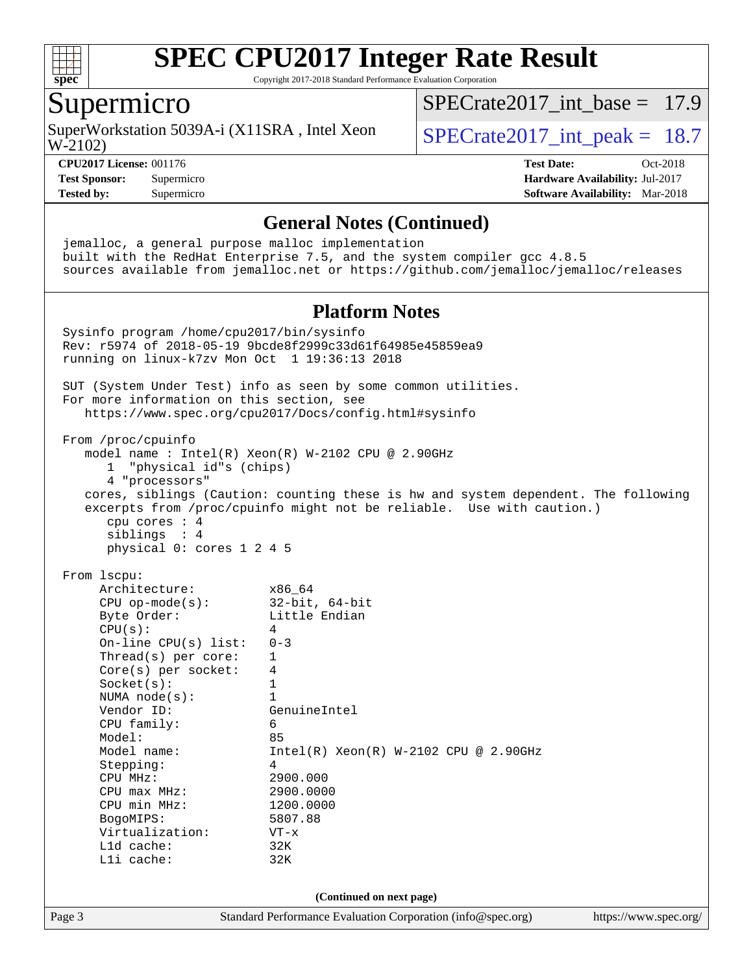

Copyright 2017-2018 Standard Performance Evaluation Corporation

### Supermicro

W-2102) SuperWorkstation 5039A-i (X11SRA, Intel Xeon  $\vert$  SPECrate2017 int peak = 18.7

[SPECrate2017\\_int\\_base =](http://www.spec.org/auto/cpu2017/Docs/result-fields.html#SPECrate2017intbase) 17.9

**[Test Sponsor:](http://www.spec.org/auto/cpu2017/Docs/result-fields.html#TestSponsor)** Supermicro **[Hardware Availability:](http://www.spec.org/auto/cpu2017/Docs/result-fields.html#HardwareAvailability)** Jul-2017

**[CPU2017 License:](http://www.spec.org/auto/cpu2017/Docs/result-fields.html#CPU2017License)** 001176 **[Test Date:](http://www.spec.org/auto/cpu2017/Docs/result-fields.html#TestDate)** Oct-2018 **[Tested by:](http://www.spec.org/auto/cpu2017/Docs/result-fields.html#Testedby)** Supermicro **[Software Availability:](http://www.spec.org/auto/cpu2017/Docs/result-fields.html#SoftwareAvailability)** Mar-2018

### **[General Notes \(Continued\)](http://www.spec.org/auto/cpu2017/Docs/result-fields.html#GeneralNotes)**

Page 3 Standard Performance Evaluation Corporation [\(info@spec.org\)](mailto:info@spec.org) <https://www.spec.org/> jemalloc, a general purpose malloc implementation built with the RedHat Enterprise 7.5, and the system compiler gcc 4.8.5 sources available from jemalloc.net or <https://github.com/jemalloc/jemalloc/releases> **[Platform Notes](http://www.spec.org/auto/cpu2017/Docs/result-fields.html#PlatformNotes)** Sysinfo program /home/cpu2017/bin/sysinfo Rev: r5974 of 2018-05-19 9bcde8f2999c33d61f64985e45859ea9 running on linux-k7zv Mon Oct 1 19:36:13 2018 SUT (System Under Test) info as seen by some common utilities. For more information on this section, see <https://www.spec.org/cpu2017/Docs/config.html#sysinfo> From /proc/cpuinfo model name : Intel(R) Xeon(R) W-2102 CPU @ 2.90GHz 1 "physical id"s (chips) 4 "processors" cores, siblings (Caution: counting these is hw and system dependent. The following excerpts from /proc/cpuinfo might not be reliable. Use with caution.) cpu cores : 4 siblings : 4 physical 0: cores 1 2 4 5 From lscpu: Architecture: x86\_64 CPU op-mode(s): 32-bit, 64-bit Byte Order: Little Endian  $CPU(s):$  4 On-line CPU(s) list: 0-3 Thread(s) per core: 1 Core(s) per socket: 4 Socket(s): 1 NUMA node(s): 1<br>Vendor ID: Ge GenuineIntel CPU family: 6 Model: 85 Model name: Intel(R) Xeon(R) W-2102 CPU @ 2.90GHz Stepping: 4 CPU MHz: 2900.000<br>
CPU max MHz: 2900.0000  $CPU$  max  $MHz$ : CPU min MHz: 1200.0000 BogoMIPS: 5807.88 Virtualization: VT-x L1d cache: 32K L1i cache: 32K **(Continued on next page)**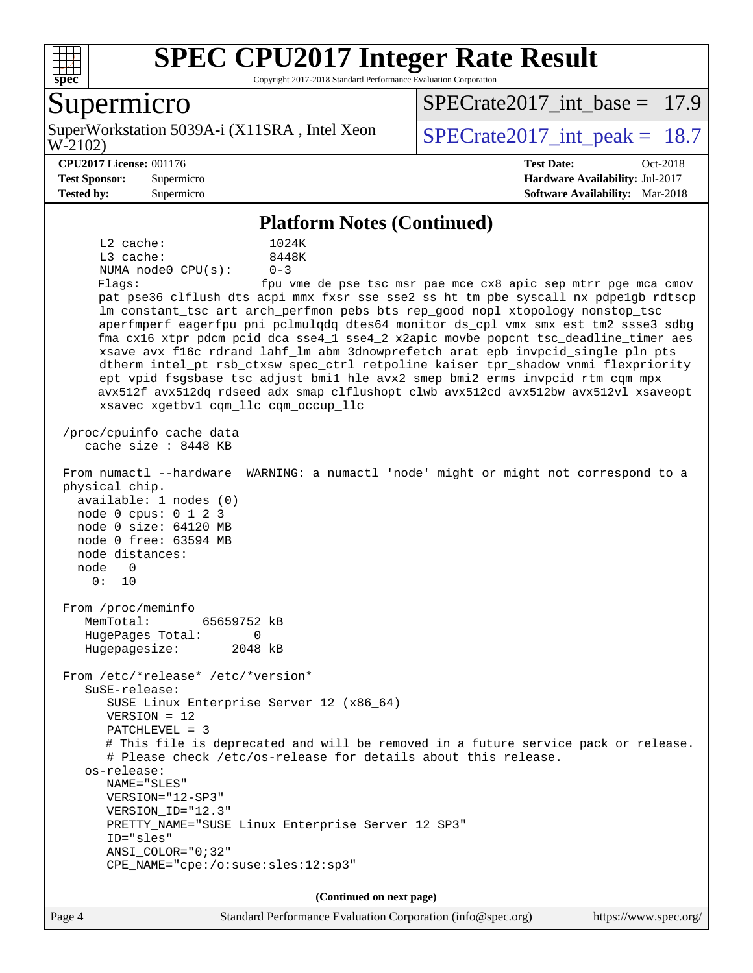

Copyright 2017-2018 Standard Performance Evaluation Corporation

### Supermicro

W-2102) SuperWorkstation 5039A-i (X11SRA, Intel Xeon  $\vert$  SPECrate2017 int peak = 18.7

SPECrate2017 int\_base =  $17.9$ 

#### **[CPU2017 License:](http://www.spec.org/auto/cpu2017/Docs/result-fields.html#CPU2017License)** 001176 **[Test Date:](http://www.spec.org/auto/cpu2017/Docs/result-fields.html#TestDate)** Oct-2018

**[Test Sponsor:](http://www.spec.org/auto/cpu2017/Docs/result-fields.html#TestSponsor)** Supermicro **[Hardware Availability:](http://www.spec.org/auto/cpu2017/Docs/result-fields.html#HardwareAvailability)** Jul-2017 **[Tested by:](http://www.spec.org/auto/cpu2017/Docs/result-fields.html#Testedby)** Supermicro **[Software Availability:](http://www.spec.org/auto/cpu2017/Docs/result-fields.html#SoftwareAvailability)** Mar-2018

#### **[Platform Notes \(Continued\)](http://www.spec.org/auto/cpu2017/Docs/result-fields.html#PlatformNotes)**

 L2 cache: 1024K L3 cache: 8448K NUMA node0 CPU(s): 0-3 Flags: fpu vme de pse tsc msr pae mce cx8 apic sep mtrr pge mca cmov pat pse36 clflush dts acpi mmx fxsr sse sse2 ss ht tm pbe syscall nx pdpe1gb rdtscp lm constant\_tsc art arch\_perfmon pebs bts rep\_good nopl xtopology nonstop\_tsc aperfmperf eagerfpu pni pclmulqdq dtes64 monitor ds\_cpl vmx smx est tm2 ssse3 sdbg fma cx16 xtpr pdcm pcid dca sse4\_1 sse4\_2 x2apic movbe popcnt tsc\_deadline\_timer aes xsave avx f16c rdrand lahf\_lm abm 3dnowprefetch arat epb invpcid\_single pln pts dtherm intel\_pt rsb\_ctxsw spec\_ctrl retpoline kaiser tpr\_shadow vnmi flexpriority ept vpid fsgsbase tsc\_adjust bmi1 hle avx2 smep bmi2 erms invpcid rtm cqm mpx avx512f avx512dq rdseed adx smap clflushopt clwb avx512cd avx512bw avx512vl xsaveopt xsavec xgetbv1 cqm\_llc cqm\_occup\_llc /proc/cpuinfo cache data cache size : 8448 KB From numactl --hardware WARNING: a numactl 'node' might or might not correspond to a physical chip. available: 1 nodes (0) node 0 cpus: 0 1 2 3 node 0 size: 64120 MB node 0 free: 63594 MB node distances: node 0 0: 10 From /proc/meminfo MemTotal: 65659752 kB HugePages\_Total: 0 Hugepagesize: 2048 kB From /etc/\*release\* /etc/\*version\* SuSE-release: SUSE Linux Enterprise Server 12 (x86\_64) VERSION = 12 PATCHLEVEL = 3 # This file is deprecated and will be removed in a future service pack or release. # Please check /etc/os-release for details about this release. os-release: NAME="SLES" VERSION="12-SP3" VERSION\_ID="12.3" PRETTY\_NAME="SUSE Linux Enterprise Server 12 SP3" ID="sles" ANSI\_COLOR="0;32" CPE\_NAME="cpe:/o:suse:sles:12:sp3" **(Continued on next page)**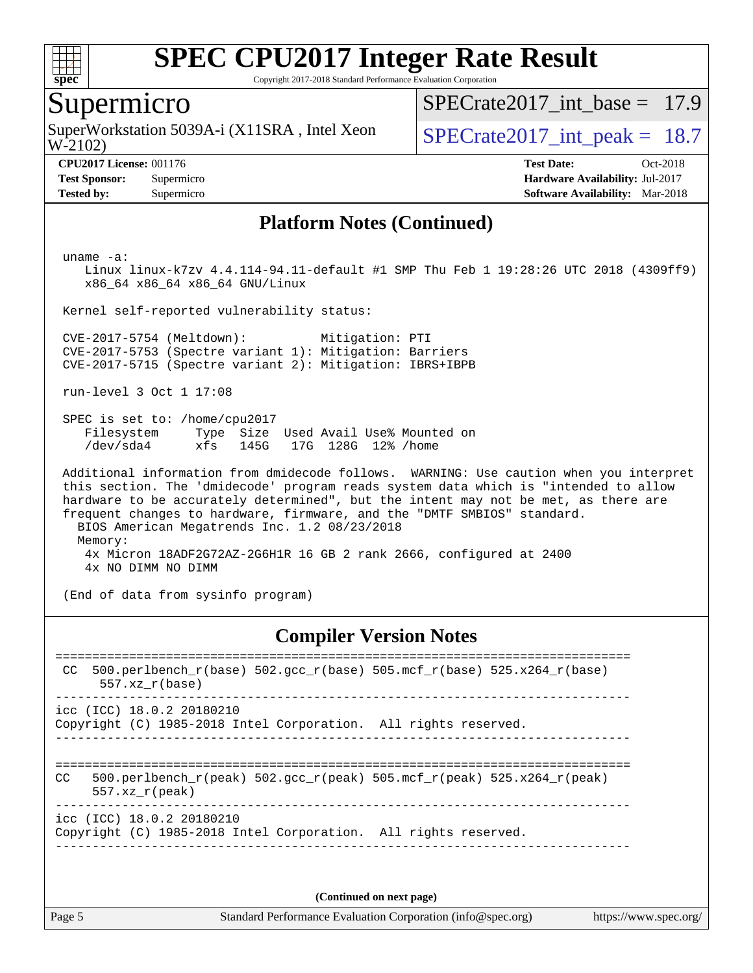

Copyright 2017-2018 Standard Performance Evaluation Corporation

## Supermicro

W-2102) SuperWorkstation 5039A-i (X11SRA, Intel Xeon  $\vert$  SPECrate2017 int peak = 18.7

SPECrate2017 int\_base =  $17.9$ 

**[Tested by:](http://www.spec.org/auto/cpu2017/Docs/result-fields.html#Testedby)** Supermicro **[Software Availability:](http://www.spec.org/auto/cpu2017/Docs/result-fields.html#SoftwareAvailability)** Mar-2018

**[CPU2017 License:](http://www.spec.org/auto/cpu2017/Docs/result-fields.html#CPU2017License)** 001176 **[Test Date:](http://www.spec.org/auto/cpu2017/Docs/result-fields.html#TestDate)** Oct-2018 **[Test Sponsor:](http://www.spec.org/auto/cpu2017/Docs/result-fields.html#TestSponsor)** Supermicro **[Hardware Availability:](http://www.spec.org/auto/cpu2017/Docs/result-fields.html#HardwareAvailability)** Jul-2017

### **[Platform Notes \(Continued\)](http://www.spec.org/auto/cpu2017/Docs/result-fields.html#PlatformNotes)**

uname -a:

 Linux linux-k7zv 4.4.114-94.11-default #1 SMP Thu Feb 1 19:28:26 UTC 2018 (4309ff9) x86\_64 x86\_64 x86\_64 GNU/Linux

Kernel self-reported vulnerability status:

 CVE-2017-5754 (Meltdown): Mitigation: PTI CVE-2017-5753 (Spectre variant 1): Mitigation: Barriers CVE-2017-5715 (Spectre variant 2): Mitigation: IBRS+IBPB

run-level 3 Oct 1 17:08

 SPEC is set to: /home/cpu2017 Filesystem Type Size Used Avail Use% Mounted on /dev/sda4 xfs 145G 17G 128G 12% /home

 Additional information from dmidecode follows. WARNING: Use caution when you interpret this section. The 'dmidecode' program reads system data which is "intended to allow hardware to be accurately determined", but the intent may not be met, as there are frequent changes to hardware, firmware, and the "DMTF SMBIOS" standard. BIOS American Megatrends Inc. 1.2 08/23/2018 Memory: 4x Micron 18ADF2G72AZ-2G6H1R 16 GB 2 rank 2666, configured at 2400 4x NO DIMM NO DIMM

(End of data from sysinfo program)

### **[Compiler Version Notes](http://www.spec.org/auto/cpu2017/Docs/result-fields.html#CompilerVersionNotes)**

============================================================================== CC 500.perlbench\_r(base)  $502.\text{gcc}_r(\text{base})$  505.mcf\_r(base) 525.x264\_r(base) 557.xz\_r(base) ----------------------------------------------------------------------------- icc (ICC) 18.0.2 20180210 Copyright (C) 1985-2018 Intel Corporation. All rights reserved. ------------------------------------------------------------------------------ ============================================================================== CC 500.perlbench r(peak) 502.gcc r(peak) 505.mcf r(peak) 525.x264 r(peak) 557.xz\_r(peak) ----------------------------------------------------------------------------- icc (ICC) 18.0.2 20180210 Copyright (C) 1985-2018 Intel Corporation. All rights reserved. ------------------------------------------------------------------------------

**(Continued on next page)**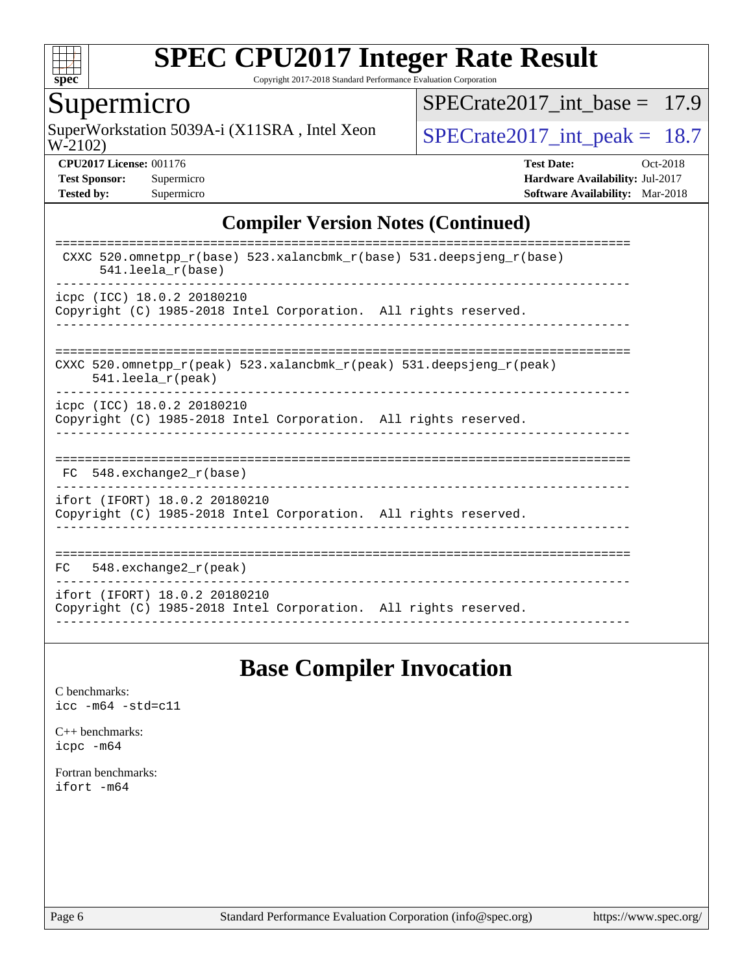

Copyright 2017-2018 Standard Performance Evaluation Corporation

## Supermicro

W-2102) SuperWorkstation 5039A-i (X11SRA, Intel Xeon  $SPECrate2017\_int\_peak = 18.7$ 

[SPECrate2017\\_int\\_base =](http://www.spec.org/auto/cpu2017/Docs/result-fields.html#SPECrate2017intbase) 17.9

**[CPU2017 License:](http://www.spec.org/auto/cpu2017/Docs/result-fields.html#CPU2017License)** 001176 **[Test Date:](http://www.spec.org/auto/cpu2017/Docs/result-fields.html#TestDate)** Oct-2018 **[Test Sponsor:](http://www.spec.org/auto/cpu2017/Docs/result-fields.html#TestSponsor)** Supermicro **[Hardware Availability:](http://www.spec.org/auto/cpu2017/Docs/result-fields.html#HardwareAvailability)** Jul-2017 **[Tested by:](http://www.spec.org/auto/cpu2017/Docs/result-fields.html#Testedby)** Supermicro **[Software Availability:](http://www.spec.org/auto/cpu2017/Docs/result-fields.html#SoftwareAvailability)** Mar-2018

### **[Compiler Version Notes \(Continued\)](http://www.spec.org/auto/cpu2017/Docs/result-fields.html#CompilerVersionNotes)**

| CXXC 520.omnetpp $r(base)$ 523.xalancbmk $r(base)$ 531.deepsjeng $r(base)$<br>$541.$ leela $r(base)$                       |
|----------------------------------------------------------------------------------------------------------------------------|
| icpc (ICC) 18.0.2 20180210<br>Copyright (C) 1985-2018 Intel Corporation. All rights reserved.                              |
| CXXC 520.omnetpp $r(\text{peak})$ 523.xalancbmk $r(\text{peak})$ 531.deepsjeng $r(\text{peak})$<br>$541.$ leela $r$ (peak) |
| icpc (ICC) 18.0.2 20180210<br>Copyright (C) 1985-2018 Intel Corporation. All rights reserved.                              |
| 548.exchange2 r(base)<br>FC                                                                                                |
| ifort (IFORT) 18.0.2 20180210<br>Copyright (C) 1985-2018 Intel Corporation. All rights reserved.                           |
| 548. $exchange2 r (peak)$<br>FC.                                                                                           |
| ifort (IFORT) 18.0.2 20180210<br>Copyright (C) 1985-2018 Intel Corporation. All rights reserved.                           |

# **[Base Compiler Invocation](http://www.spec.org/auto/cpu2017/Docs/result-fields.html#BaseCompilerInvocation)**

[C benchmarks](http://www.spec.org/auto/cpu2017/Docs/result-fields.html#Cbenchmarks): [icc -m64 -std=c11](http://www.spec.org/cpu2017/results/res2018q4/cpu2017-20181015-09229.flags.html#user_CCbase_intel_icc_64bit_c11_33ee0cdaae7deeeab2a9725423ba97205ce30f63b9926c2519791662299b76a0318f32ddfffdc46587804de3178b4f9328c46fa7c2b0cd779d7a61945c91cd35)

[C++ benchmarks:](http://www.spec.org/auto/cpu2017/Docs/result-fields.html#CXXbenchmarks) [icpc -m64](http://www.spec.org/cpu2017/results/res2018q4/cpu2017-20181015-09229.flags.html#user_CXXbase_intel_icpc_64bit_4ecb2543ae3f1412ef961e0650ca070fec7b7afdcd6ed48761b84423119d1bf6bdf5cad15b44d48e7256388bc77273b966e5eb805aefd121eb22e9299b2ec9d9)

[Fortran benchmarks](http://www.spec.org/auto/cpu2017/Docs/result-fields.html#Fortranbenchmarks): [ifort -m64](http://www.spec.org/cpu2017/results/res2018q4/cpu2017-20181015-09229.flags.html#user_FCbase_intel_ifort_64bit_24f2bb282fbaeffd6157abe4f878425411749daecae9a33200eee2bee2fe76f3b89351d69a8130dd5949958ce389cf37ff59a95e7a40d588e8d3a57e0c3fd751)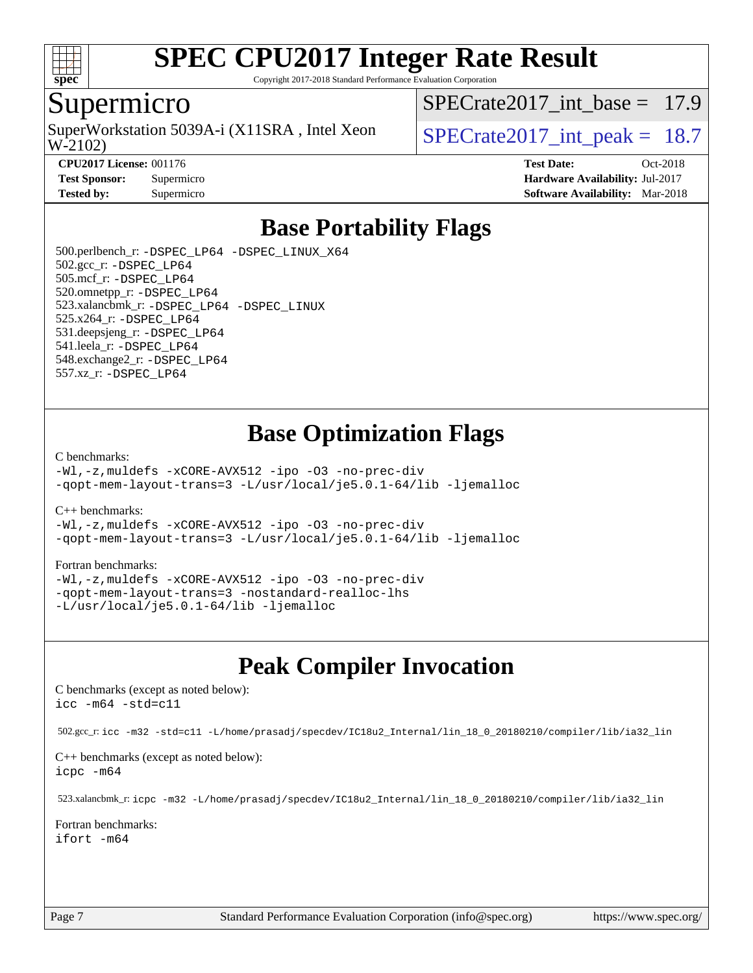

Copyright 2017-2018 Standard Performance Evaluation Corporation

### Supermicro

W-2102) SuperWorkstation 5039A-i (X11SRA, Intel Xeon  $\vert$  SPECrate2017 int peak = 18.7

SPECrate2017 int\_base =  $17.9$ 

**[CPU2017 License:](http://www.spec.org/auto/cpu2017/Docs/result-fields.html#CPU2017License)** 001176 **[Test Date:](http://www.spec.org/auto/cpu2017/Docs/result-fields.html#TestDate)** Oct-2018 **[Test Sponsor:](http://www.spec.org/auto/cpu2017/Docs/result-fields.html#TestSponsor)** Supermicro **[Hardware Availability:](http://www.spec.org/auto/cpu2017/Docs/result-fields.html#HardwareAvailability)** Jul-2017 **[Tested by:](http://www.spec.org/auto/cpu2017/Docs/result-fields.html#Testedby)** Supermicro **[Software Availability:](http://www.spec.org/auto/cpu2017/Docs/result-fields.html#SoftwareAvailability)** Mar-2018

# **[Base Portability Flags](http://www.spec.org/auto/cpu2017/Docs/result-fields.html#BasePortabilityFlags)**

 500.perlbench\_r: [-DSPEC\\_LP64](http://www.spec.org/cpu2017/results/res2018q4/cpu2017-20181015-09229.flags.html#b500.perlbench_r_basePORTABILITY_DSPEC_LP64) [-DSPEC\\_LINUX\\_X64](http://www.spec.org/cpu2017/results/res2018q4/cpu2017-20181015-09229.flags.html#b500.perlbench_r_baseCPORTABILITY_DSPEC_LINUX_X64) 502.gcc\_r: [-DSPEC\\_LP64](http://www.spec.org/cpu2017/results/res2018q4/cpu2017-20181015-09229.flags.html#suite_basePORTABILITY502_gcc_r_DSPEC_LP64) 505.mcf\_r: [-DSPEC\\_LP64](http://www.spec.org/cpu2017/results/res2018q4/cpu2017-20181015-09229.flags.html#suite_basePORTABILITY505_mcf_r_DSPEC_LP64) 520.omnetpp\_r: [-DSPEC\\_LP64](http://www.spec.org/cpu2017/results/res2018q4/cpu2017-20181015-09229.flags.html#suite_basePORTABILITY520_omnetpp_r_DSPEC_LP64) 523.xalancbmk\_r: [-DSPEC\\_LP64](http://www.spec.org/cpu2017/results/res2018q4/cpu2017-20181015-09229.flags.html#suite_basePORTABILITY523_xalancbmk_r_DSPEC_LP64) [-DSPEC\\_LINUX](http://www.spec.org/cpu2017/results/res2018q4/cpu2017-20181015-09229.flags.html#b523.xalancbmk_r_baseCXXPORTABILITY_DSPEC_LINUX) 525.x264\_r: [-DSPEC\\_LP64](http://www.spec.org/cpu2017/results/res2018q4/cpu2017-20181015-09229.flags.html#suite_basePORTABILITY525_x264_r_DSPEC_LP64) 531.deepsjeng\_r: [-DSPEC\\_LP64](http://www.spec.org/cpu2017/results/res2018q4/cpu2017-20181015-09229.flags.html#suite_basePORTABILITY531_deepsjeng_r_DSPEC_LP64) 541.leela\_r: [-DSPEC\\_LP64](http://www.spec.org/cpu2017/results/res2018q4/cpu2017-20181015-09229.flags.html#suite_basePORTABILITY541_leela_r_DSPEC_LP64) 548.exchange2\_r: [-DSPEC\\_LP64](http://www.spec.org/cpu2017/results/res2018q4/cpu2017-20181015-09229.flags.html#suite_basePORTABILITY548_exchange2_r_DSPEC_LP64) 557.xz\_r: [-DSPEC\\_LP64](http://www.spec.org/cpu2017/results/res2018q4/cpu2017-20181015-09229.flags.html#suite_basePORTABILITY557_xz_r_DSPEC_LP64)

# **[Base Optimization Flags](http://www.spec.org/auto/cpu2017/Docs/result-fields.html#BaseOptimizationFlags)**

#### [C benchmarks](http://www.spec.org/auto/cpu2017/Docs/result-fields.html#Cbenchmarks):

[-Wl,-z,muldefs](http://www.spec.org/cpu2017/results/res2018q4/cpu2017-20181015-09229.flags.html#user_CCbase_link_force_multiple1_b4cbdb97b34bdee9ceefcfe54f4c8ea74255f0b02a4b23e853cdb0e18eb4525ac79b5a88067c842dd0ee6996c24547a27a4b99331201badda8798ef8a743f577) [-xCORE-AVX512](http://www.spec.org/cpu2017/results/res2018q4/cpu2017-20181015-09229.flags.html#user_CCbase_f-xCORE-AVX512) [-ipo](http://www.spec.org/cpu2017/results/res2018q4/cpu2017-20181015-09229.flags.html#user_CCbase_f-ipo) [-O3](http://www.spec.org/cpu2017/results/res2018q4/cpu2017-20181015-09229.flags.html#user_CCbase_f-O3) [-no-prec-div](http://www.spec.org/cpu2017/results/res2018q4/cpu2017-20181015-09229.flags.html#user_CCbase_f-no-prec-div) [-qopt-mem-layout-trans=3](http://www.spec.org/cpu2017/results/res2018q4/cpu2017-20181015-09229.flags.html#user_CCbase_f-qopt-mem-layout-trans_de80db37974c74b1f0e20d883f0b675c88c3b01e9d123adea9b28688d64333345fb62bc4a798493513fdb68f60282f9a726aa07f478b2f7113531aecce732043) [-L/usr/local/je5.0.1-64/lib](http://www.spec.org/cpu2017/results/res2018q4/cpu2017-20181015-09229.flags.html#user_CCbase_jemalloc_link_path64_4b10a636b7bce113509b17f3bd0d6226c5fb2346b9178c2d0232c14f04ab830f976640479e5c33dc2bcbbdad86ecfb6634cbbd4418746f06f368b512fced5394) [-ljemalloc](http://www.spec.org/cpu2017/results/res2018q4/cpu2017-20181015-09229.flags.html#user_CCbase_jemalloc_link_lib_d1249b907c500fa1c0672f44f562e3d0f79738ae9e3c4a9c376d49f265a04b9c99b167ecedbf6711b3085be911c67ff61f150a17b3472be731631ba4d0471706)

[C++ benchmarks:](http://www.spec.org/auto/cpu2017/Docs/result-fields.html#CXXbenchmarks)

[-Wl,-z,muldefs](http://www.spec.org/cpu2017/results/res2018q4/cpu2017-20181015-09229.flags.html#user_CXXbase_link_force_multiple1_b4cbdb97b34bdee9ceefcfe54f4c8ea74255f0b02a4b23e853cdb0e18eb4525ac79b5a88067c842dd0ee6996c24547a27a4b99331201badda8798ef8a743f577) [-xCORE-AVX512](http://www.spec.org/cpu2017/results/res2018q4/cpu2017-20181015-09229.flags.html#user_CXXbase_f-xCORE-AVX512) [-ipo](http://www.spec.org/cpu2017/results/res2018q4/cpu2017-20181015-09229.flags.html#user_CXXbase_f-ipo) [-O3](http://www.spec.org/cpu2017/results/res2018q4/cpu2017-20181015-09229.flags.html#user_CXXbase_f-O3) [-no-prec-div](http://www.spec.org/cpu2017/results/res2018q4/cpu2017-20181015-09229.flags.html#user_CXXbase_f-no-prec-div) [-qopt-mem-layout-trans=3](http://www.spec.org/cpu2017/results/res2018q4/cpu2017-20181015-09229.flags.html#user_CXXbase_f-qopt-mem-layout-trans_de80db37974c74b1f0e20d883f0b675c88c3b01e9d123adea9b28688d64333345fb62bc4a798493513fdb68f60282f9a726aa07f478b2f7113531aecce732043) [-L/usr/local/je5.0.1-64/lib](http://www.spec.org/cpu2017/results/res2018q4/cpu2017-20181015-09229.flags.html#user_CXXbase_jemalloc_link_path64_4b10a636b7bce113509b17f3bd0d6226c5fb2346b9178c2d0232c14f04ab830f976640479e5c33dc2bcbbdad86ecfb6634cbbd4418746f06f368b512fced5394) [-ljemalloc](http://www.spec.org/cpu2017/results/res2018q4/cpu2017-20181015-09229.flags.html#user_CXXbase_jemalloc_link_lib_d1249b907c500fa1c0672f44f562e3d0f79738ae9e3c4a9c376d49f265a04b9c99b167ecedbf6711b3085be911c67ff61f150a17b3472be731631ba4d0471706)

#### [Fortran benchmarks](http://www.spec.org/auto/cpu2017/Docs/result-fields.html#Fortranbenchmarks):

[-Wl,-z,muldefs](http://www.spec.org/cpu2017/results/res2018q4/cpu2017-20181015-09229.flags.html#user_FCbase_link_force_multiple1_b4cbdb97b34bdee9ceefcfe54f4c8ea74255f0b02a4b23e853cdb0e18eb4525ac79b5a88067c842dd0ee6996c24547a27a4b99331201badda8798ef8a743f577) [-xCORE-AVX512](http://www.spec.org/cpu2017/results/res2018q4/cpu2017-20181015-09229.flags.html#user_FCbase_f-xCORE-AVX512) [-ipo](http://www.spec.org/cpu2017/results/res2018q4/cpu2017-20181015-09229.flags.html#user_FCbase_f-ipo) [-O3](http://www.spec.org/cpu2017/results/res2018q4/cpu2017-20181015-09229.flags.html#user_FCbase_f-O3) [-no-prec-div](http://www.spec.org/cpu2017/results/res2018q4/cpu2017-20181015-09229.flags.html#user_FCbase_f-no-prec-div) [-qopt-mem-layout-trans=3](http://www.spec.org/cpu2017/results/res2018q4/cpu2017-20181015-09229.flags.html#user_FCbase_f-qopt-mem-layout-trans_de80db37974c74b1f0e20d883f0b675c88c3b01e9d123adea9b28688d64333345fb62bc4a798493513fdb68f60282f9a726aa07f478b2f7113531aecce732043) [-nostandard-realloc-lhs](http://www.spec.org/cpu2017/results/res2018q4/cpu2017-20181015-09229.flags.html#user_FCbase_f_2003_std_realloc_82b4557e90729c0f113870c07e44d33d6f5a304b4f63d4c15d2d0f1fab99f5daaed73bdb9275d9ae411527f28b936061aa8b9c8f2d63842963b95c9dd6426b8a) [-L/usr/local/je5.0.1-64/lib](http://www.spec.org/cpu2017/results/res2018q4/cpu2017-20181015-09229.flags.html#user_FCbase_jemalloc_link_path64_4b10a636b7bce113509b17f3bd0d6226c5fb2346b9178c2d0232c14f04ab830f976640479e5c33dc2bcbbdad86ecfb6634cbbd4418746f06f368b512fced5394) [-ljemalloc](http://www.spec.org/cpu2017/results/res2018q4/cpu2017-20181015-09229.flags.html#user_FCbase_jemalloc_link_lib_d1249b907c500fa1c0672f44f562e3d0f79738ae9e3c4a9c376d49f265a04b9c99b167ecedbf6711b3085be911c67ff61f150a17b3472be731631ba4d0471706)

# **[Peak Compiler Invocation](http://www.spec.org/auto/cpu2017/Docs/result-fields.html#PeakCompilerInvocation)**

[C benchmarks \(except as noted below\)](http://www.spec.org/auto/cpu2017/Docs/result-fields.html#Cbenchmarksexceptasnotedbelow): [icc -m64 -std=c11](http://www.spec.org/cpu2017/results/res2018q4/cpu2017-20181015-09229.flags.html#user_CCpeak_intel_icc_64bit_c11_33ee0cdaae7deeeab2a9725423ba97205ce30f63b9926c2519791662299b76a0318f32ddfffdc46587804de3178b4f9328c46fa7c2b0cd779d7a61945c91cd35)

502.gcc\_r: [icc -m32 -std=c11 -L/home/prasadj/specdev/IC18u2\\_Internal/lin\\_18\\_0\\_20180210/compiler/lib/ia32\\_lin](http://www.spec.org/cpu2017/results/res2018q4/cpu2017-20181015-09229.flags.html#user_peakCCLD502_gcc_r_intel_icc_a481ac844e7127046fad14d498c730a1848fa901fbbb2c3dfdd5e9fbbac777c8009953946d55d8b6afe8ed0da70dd2b4f8dedbdf7ab1ee211ba70d24a5d89f85)

[C++ benchmarks \(except as noted below\):](http://www.spec.org/auto/cpu2017/Docs/result-fields.html#CXXbenchmarksexceptasnotedbelow) [icpc -m64](http://www.spec.org/cpu2017/results/res2018q4/cpu2017-20181015-09229.flags.html#user_CXXpeak_intel_icpc_64bit_4ecb2543ae3f1412ef961e0650ca070fec7b7afdcd6ed48761b84423119d1bf6bdf5cad15b44d48e7256388bc77273b966e5eb805aefd121eb22e9299b2ec9d9)

523.xalancbmk\_r: [icpc -m32 -L/home/prasadj/specdev/IC18u2\\_Internal/lin\\_18\\_0\\_20180210/compiler/lib/ia32\\_lin](http://www.spec.org/cpu2017/results/res2018q4/cpu2017-20181015-09229.flags.html#user_peakCXXLD523_xalancbmk_r_intel_icpc_c6d030cd79af6ea7d6fb64c57e8fe7ae8fe0b96fc5a3b3f4a10e3273b3d7fa9decd8263f6330cef23f751cb093a69fae84a2bf4c243500a8eed069248128076f)

[Fortran benchmarks](http://www.spec.org/auto/cpu2017/Docs/result-fields.html#Fortranbenchmarks): [ifort -m64](http://www.spec.org/cpu2017/results/res2018q4/cpu2017-20181015-09229.flags.html#user_FCpeak_intel_ifort_64bit_24f2bb282fbaeffd6157abe4f878425411749daecae9a33200eee2bee2fe76f3b89351d69a8130dd5949958ce389cf37ff59a95e7a40d588e8d3a57e0c3fd751)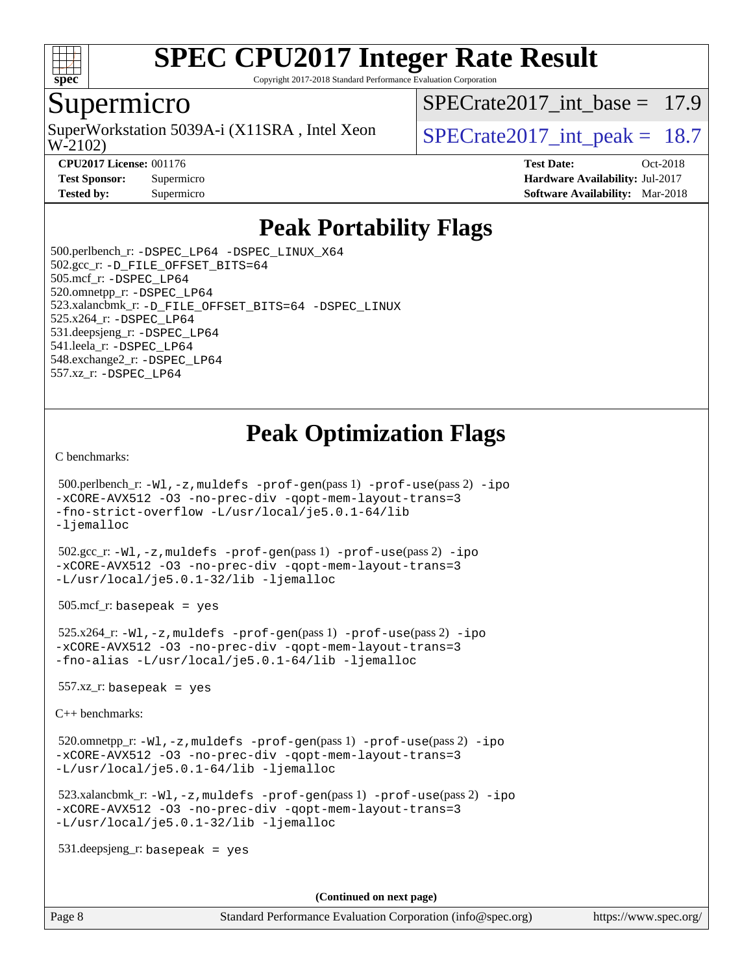

Copyright 2017-2018 Standard Performance Evaluation Corporation

### Supermicro

W-2102) SuperWorkstation 5039A-i (X11SRA, Intel Xeon  $\vert$  SPECrate2017 int peak = 18.7

SPECrate2017 int\_base =  $17.9$ 

**[CPU2017 License:](http://www.spec.org/auto/cpu2017/Docs/result-fields.html#CPU2017License)** 001176 **[Test Date:](http://www.spec.org/auto/cpu2017/Docs/result-fields.html#TestDate)** Oct-2018 **[Test Sponsor:](http://www.spec.org/auto/cpu2017/Docs/result-fields.html#TestSponsor)** Supermicro **[Hardware Availability:](http://www.spec.org/auto/cpu2017/Docs/result-fields.html#HardwareAvailability)** Jul-2017 **[Tested by:](http://www.spec.org/auto/cpu2017/Docs/result-fields.html#Testedby)** Supermicro **Supermicro [Software Availability:](http://www.spec.org/auto/cpu2017/Docs/result-fields.html#SoftwareAvailability)** Mar-2018

# **[Peak Portability Flags](http://www.spec.org/auto/cpu2017/Docs/result-fields.html#PeakPortabilityFlags)**

 500.perlbench\_r: [-DSPEC\\_LP64](http://www.spec.org/cpu2017/results/res2018q4/cpu2017-20181015-09229.flags.html#b500.perlbench_r_peakPORTABILITY_DSPEC_LP64) [-DSPEC\\_LINUX\\_X64](http://www.spec.org/cpu2017/results/res2018q4/cpu2017-20181015-09229.flags.html#b500.perlbench_r_peakCPORTABILITY_DSPEC_LINUX_X64) 502.gcc\_r: [-D\\_FILE\\_OFFSET\\_BITS=64](http://www.spec.org/cpu2017/results/res2018q4/cpu2017-20181015-09229.flags.html#user_peakPORTABILITY502_gcc_r_file_offset_bits_64_5ae949a99b284ddf4e95728d47cb0843d81b2eb0e18bdfe74bbf0f61d0b064f4bda2f10ea5eb90e1dcab0e84dbc592acfc5018bc955c18609f94ddb8d550002c) 505.mcf\_r: [-DSPEC\\_LP64](http://www.spec.org/cpu2017/results/res2018q4/cpu2017-20181015-09229.flags.html#suite_peakPORTABILITY505_mcf_r_DSPEC_LP64) 520.omnetpp\_r: [-DSPEC\\_LP64](http://www.spec.org/cpu2017/results/res2018q4/cpu2017-20181015-09229.flags.html#suite_peakPORTABILITY520_omnetpp_r_DSPEC_LP64) 523.xalancbmk\_r: [-D\\_FILE\\_OFFSET\\_BITS=64](http://www.spec.org/cpu2017/results/res2018q4/cpu2017-20181015-09229.flags.html#user_peakPORTABILITY523_xalancbmk_r_file_offset_bits_64_5ae949a99b284ddf4e95728d47cb0843d81b2eb0e18bdfe74bbf0f61d0b064f4bda2f10ea5eb90e1dcab0e84dbc592acfc5018bc955c18609f94ddb8d550002c) [-DSPEC\\_LINUX](http://www.spec.org/cpu2017/results/res2018q4/cpu2017-20181015-09229.flags.html#b523.xalancbmk_r_peakCXXPORTABILITY_DSPEC_LINUX) 525.x264\_r: [-DSPEC\\_LP64](http://www.spec.org/cpu2017/results/res2018q4/cpu2017-20181015-09229.flags.html#suite_peakPORTABILITY525_x264_r_DSPEC_LP64) 531.deepsjeng\_r: [-DSPEC\\_LP64](http://www.spec.org/cpu2017/results/res2018q4/cpu2017-20181015-09229.flags.html#suite_peakPORTABILITY531_deepsjeng_r_DSPEC_LP64) 541.leela\_r: [-DSPEC\\_LP64](http://www.spec.org/cpu2017/results/res2018q4/cpu2017-20181015-09229.flags.html#suite_peakPORTABILITY541_leela_r_DSPEC_LP64) 548.exchange2\_r: [-DSPEC\\_LP64](http://www.spec.org/cpu2017/results/res2018q4/cpu2017-20181015-09229.flags.html#suite_peakPORTABILITY548_exchange2_r_DSPEC_LP64) 557.xz\_r: [-DSPEC\\_LP64](http://www.spec.org/cpu2017/results/res2018q4/cpu2017-20181015-09229.flags.html#suite_peakPORTABILITY557_xz_r_DSPEC_LP64)

# **[Peak Optimization Flags](http://www.spec.org/auto/cpu2017/Docs/result-fields.html#PeakOptimizationFlags)**

[C benchmarks](http://www.spec.org/auto/cpu2017/Docs/result-fields.html#Cbenchmarks):

```
 500.perlbench_r: -Wl,-z,muldefs -prof-gen(pass 1) -prof-use(pass 2) -ipo
-xCORE-AVX512 -O3 -no-prec-div -qopt-mem-layout-trans=3
-fno-strict-overflow -L/usr/local/je5.0.1-64/lib
-ljemalloc
```
 502.gcc\_r: [-Wl,-z,muldefs](http://www.spec.org/cpu2017/results/res2018q4/cpu2017-20181015-09229.flags.html#user_peakEXTRA_LDFLAGS502_gcc_r_link_force_multiple1_b4cbdb97b34bdee9ceefcfe54f4c8ea74255f0b02a4b23e853cdb0e18eb4525ac79b5a88067c842dd0ee6996c24547a27a4b99331201badda8798ef8a743f577) [-prof-gen](http://www.spec.org/cpu2017/results/res2018q4/cpu2017-20181015-09229.flags.html#user_peakPASS1_CFLAGSPASS1_LDFLAGS502_gcc_r_prof_gen_5aa4926d6013ddb2a31985c654b3eb18169fc0c6952a63635c234f711e6e63dd76e94ad52365559451ec499a2cdb89e4dc58ba4c67ef54ca681ffbe1461d6b36)(pass 1) [-prof-use](http://www.spec.org/cpu2017/results/res2018q4/cpu2017-20181015-09229.flags.html#user_peakPASS2_CFLAGSPASS2_LDFLAGS502_gcc_r_prof_use_1a21ceae95f36a2b53c25747139a6c16ca95bd9def2a207b4f0849963b97e94f5260e30a0c64f4bb623698870e679ca08317ef8150905d41bd88c6f78df73f19)(pass 2) [-ipo](http://www.spec.org/cpu2017/results/res2018q4/cpu2017-20181015-09229.flags.html#user_peakPASS1_COPTIMIZEPASS2_COPTIMIZE502_gcc_r_f-ipo) [-xCORE-AVX512](http://www.spec.org/cpu2017/results/res2018q4/cpu2017-20181015-09229.flags.html#user_peakPASS2_COPTIMIZE502_gcc_r_f-xCORE-AVX512) [-O3](http://www.spec.org/cpu2017/results/res2018q4/cpu2017-20181015-09229.flags.html#user_peakPASS1_COPTIMIZEPASS2_COPTIMIZE502_gcc_r_f-O3) [-no-prec-div](http://www.spec.org/cpu2017/results/res2018q4/cpu2017-20181015-09229.flags.html#user_peakPASS1_COPTIMIZEPASS2_COPTIMIZE502_gcc_r_f-no-prec-div) [-qopt-mem-layout-trans=3](http://www.spec.org/cpu2017/results/res2018q4/cpu2017-20181015-09229.flags.html#user_peakPASS1_COPTIMIZEPASS2_COPTIMIZE502_gcc_r_f-qopt-mem-layout-trans_de80db37974c74b1f0e20d883f0b675c88c3b01e9d123adea9b28688d64333345fb62bc4a798493513fdb68f60282f9a726aa07f478b2f7113531aecce732043) [-L/usr/local/je5.0.1-32/lib](http://www.spec.org/cpu2017/results/res2018q4/cpu2017-20181015-09229.flags.html#user_peakEXTRA_LIBS502_gcc_r_jemalloc_link_path32_e29f22e8e6c17053bbc6a0971f5a9c01a601a06bb1a59df2084b77a2fe0a2995b64fd4256feaeea39eeba3aae142e96e2b2b0a28974019c0c0c88139a84f900a) [-ljemalloc](http://www.spec.org/cpu2017/results/res2018q4/cpu2017-20181015-09229.flags.html#user_peakEXTRA_LIBS502_gcc_r_jemalloc_link_lib_d1249b907c500fa1c0672f44f562e3d0f79738ae9e3c4a9c376d49f265a04b9c99b167ecedbf6711b3085be911c67ff61f150a17b3472be731631ba4d0471706)

505.mcf\_r: basepeak = yes

 525.x264\_r: [-Wl,-z,muldefs](http://www.spec.org/cpu2017/results/res2018q4/cpu2017-20181015-09229.flags.html#user_peakEXTRA_LDFLAGS525_x264_r_link_force_multiple1_b4cbdb97b34bdee9ceefcfe54f4c8ea74255f0b02a4b23e853cdb0e18eb4525ac79b5a88067c842dd0ee6996c24547a27a4b99331201badda8798ef8a743f577) [-prof-gen](http://www.spec.org/cpu2017/results/res2018q4/cpu2017-20181015-09229.flags.html#user_peakPASS1_CFLAGSPASS1_LDFLAGS525_x264_r_prof_gen_5aa4926d6013ddb2a31985c654b3eb18169fc0c6952a63635c234f711e6e63dd76e94ad52365559451ec499a2cdb89e4dc58ba4c67ef54ca681ffbe1461d6b36)(pass 1) [-prof-use](http://www.spec.org/cpu2017/results/res2018q4/cpu2017-20181015-09229.flags.html#user_peakPASS2_CFLAGSPASS2_LDFLAGS525_x264_r_prof_use_1a21ceae95f36a2b53c25747139a6c16ca95bd9def2a207b4f0849963b97e94f5260e30a0c64f4bb623698870e679ca08317ef8150905d41bd88c6f78df73f19)(pass 2) [-ipo](http://www.spec.org/cpu2017/results/res2018q4/cpu2017-20181015-09229.flags.html#user_peakPASS1_COPTIMIZEPASS2_COPTIMIZE525_x264_r_f-ipo) [-xCORE-AVX512](http://www.spec.org/cpu2017/results/res2018q4/cpu2017-20181015-09229.flags.html#user_peakPASS2_COPTIMIZE525_x264_r_f-xCORE-AVX512) [-O3](http://www.spec.org/cpu2017/results/res2018q4/cpu2017-20181015-09229.flags.html#user_peakPASS1_COPTIMIZEPASS2_COPTIMIZE525_x264_r_f-O3) [-no-prec-div](http://www.spec.org/cpu2017/results/res2018q4/cpu2017-20181015-09229.flags.html#user_peakPASS1_COPTIMIZEPASS2_COPTIMIZE525_x264_r_f-no-prec-div) [-qopt-mem-layout-trans=3](http://www.spec.org/cpu2017/results/res2018q4/cpu2017-20181015-09229.flags.html#user_peakPASS1_COPTIMIZEPASS2_COPTIMIZE525_x264_r_f-qopt-mem-layout-trans_de80db37974c74b1f0e20d883f0b675c88c3b01e9d123adea9b28688d64333345fb62bc4a798493513fdb68f60282f9a726aa07f478b2f7113531aecce732043) [-fno-alias](http://www.spec.org/cpu2017/results/res2018q4/cpu2017-20181015-09229.flags.html#user_peakEXTRA_OPTIMIZE525_x264_r_f-no-alias_77dbac10d91cbfe898fbf4a29d1b29b694089caa623bdd1baccc9957d4edbe8d106c0b357e2748a65b44fc9e83d78098bb898077f3fe92f9faf24f7bd4a07ed7) [-L/usr/local/je5.0.1-64/lib](http://www.spec.org/cpu2017/results/res2018q4/cpu2017-20181015-09229.flags.html#user_peakEXTRA_LIBS525_x264_r_jemalloc_link_path64_4b10a636b7bce113509b17f3bd0d6226c5fb2346b9178c2d0232c14f04ab830f976640479e5c33dc2bcbbdad86ecfb6634cbbd4418746f06f368b512fced5394) [-ljemalloc](http://www.spec.org/cpu2017/results/res2018q4/cpu2017-20181015-09229.flags.html#user_peakEXTRA_LIBS525_x264_r_jemalloc_link_lib_d1249b907c500fa1c0672f44f562e3d0f79738ae9e3c4a9c376d49f265a04b9c99b167ecedbf6711b3085be911c67ff61f150a17b3472be731631ba4d0471706)

 $557.xz$  r: basepeak = yes

[C++ benchmarks:](http://www.spec.org/auto/cpu2017/Docs/result-fields.html#CXXbenchmarks)

 520.omnetpp\_r: [-Wl,-z,muldefs](http://www.spec.org/cpu2017/results/res2018q4/cpu2017-20181015-09229.flags.html#user_peakEXTRA_LDFLAGS520_omnetpp_r_link_force_multiple1_b4cbdb97b34bdee9ceefcfe54f4c8ea74255f0b02a4b23e853cdb0e18eb4525ac79b5a88067c842dd0ee6996c24547a27a4b99331201badda8798ef8a743f577) [-prof-gen](http://www.spec.org/cpu2017/results/res2018q4/cpu2017-20181015-09229.flags.html#user_peakPASS1_CXXFLAGSPASS1_LDFLAGS520_omnetpp_r_prof_gen_5aa4926d6013ddb2a31985c654b3eb18169fc0c6952a63635c234f711e6e63dd76e94ad52365559451ec499a2cdb89e4dc58ba4c67ef54ca681ffbe1461d6b36)(pass 1) [-prof-use](http://www.spec.org/cpu2017/results/res2018q4/cpu2017-20181015-09229.flags.html#user_peakPASS2_CXXFLAGSPASS2_LDFLAGS520_omnetpp_r_prof_use_1a21ceae95f36a2b53c25747139a6c16ca95bd9def2a207b4f0849963b97e94f5260e30a0c64f4bb623698870e679ca08317ef8150905d41bd88c6f78df73f19)(pass 2) [-ipo](http://www.spec.org/cpu2017/results/res2018q4/cpu2017-20181015-09229.flags.html#user_peakPASS1_CXXOPTIMIZEPASS2_CXXOPTIMIZE520_omnetpp_r_f-ipo) [-xCORE-AVX512](http://www.spec.org/cpu2017/results/res2018q4/cpu2017-20181015-09229.flags.html#user_peakPASS2_CXXOPTIMIZE520_omnetpp_r_f-xCORE-AVX512) [-O3](http://www.spec.org/cpu2017/results/res2018q4/cpu2017-20181015-09229.flags.html#user_peakPASS1_CXXOPTIMIZEPASS2_CXXOPTIMIZE520_omnetpp_r_f-O3) [-no-prec-div](http://www.spec.org/cpu2017/results/res2018q4/cpu2017-20181015-09229.flags.html#user_peakPASS1_CXXOPTIMIZEPASS2_CXXOPTIMIZE520_omnetpp_r_f-no-prec-div) [-qopt-mem-layout-trans=3](http://www.spec.org/cpu2017/results/res2018q4/cpu2017-20181015-09229.flags.html#user_peakPASS1_CXXOPTIMIZEPASS2_CXXOPTIMIZE520_omnetpp_r_f-qopt-mem-layout-trans_de80db37974c74b1f0e20d883f0b675c88c3b01e9d123adea9b28688d64333345fb62bc4a798493513fdb68f60282f9a726aa07f478b2f7113531aecce732043) [-L/usr/local/je5.0.1-64/lib](http://www.spec.org/cpu2017/results/res2018q4/cpu2017-20181015-09229.flags.html#user_peakEXTRA_LIBS520_omnetpp_r_jemalloc_link_path64_4b10a636b7bce113509b17f3bd0d6226c5fb2346b9178c2d0232c14f04ab830f976640479e5c33dc2bcbbdad86ecfb6634cbbd4418746f06f368b512fced5394) [-ljemalloc](http://www.spec.org/cpu2017/results/res2018q4/cpu2017-20181015-09229.flags.html#user_peakEXTRA_LIBS520_omnetpp_r_jemalloc_link_lib_d1249b907c500fa1c0672f44f562e3d0f79738ae9e3c4a9c376d49f265a04b9c99b167ecedbf6711b3085be911c67ff61f150a17b3472be731631ba4d0471706)

 523.xalancbmk\_r: [-Wl,-z,muldefs](http://www.spec.org/cpu2017/results/res2018q4/cpu2017-20181015-09229.flags.html#user_peakEXTRA_LDFLAGS523_xalancbmk_r_link_force_multiple1_b4cbdb97b34bdee9ceefcfe54f4c8ea74255f0b02a4b23e853cdb0e18eb4525ac79b5a88067c842dd0ee6996c24547a27a4b99331201badda8798ef8a743f577) [-prof-gen](http://www.spec.org/cpu2017/results/res2018q4/cpu2017-20181015-09229.flags.html#user_peakPASS1_CXXFLAGSPASS1_LDFLAGS523_xalancbmk_r_prof_gen_5aa4926d6013ddb2a31985c654b3eb18169fc0c6952a63635c234f711e6e63dd76e94ad52365559451ec499a2cdb89e4dc58ba4c67ef54ca681ffbe1461d6b36)(pass 1) [-prof-use](http://www.spec.org/cpu2017/results/res2018q4/cpu2017-20181015-09229.flags.html#user_peakPASS2_CXXFLAGSPASS2_LDFLAGS523_xalancbmk_r_prof_use_1a21ceae95f36a2b53c25747139a6c16ca95bd9def2a207b4f0849963b97e94f5260e30a0c64f4bb623698870e679ca08317ef8150905d41bd88c6f78df73f19)(pass 2) [-ipo](http://www.spec.org/cpu2017/results/res2018q4/cpu2017-20181015-09229.flags.html#user_peakPASS1_CXXOPTIMIZEPASS2_CXXOPTIMIZE523_xalancbmk_r_f-ipo) [-xCORE-AVX512](http://www.spec.org/cpu2017/results/res2018q4/cpu2017-20181015-09229.flags.html#user_peakPASS2_CXXOPTIMIZE523_xalancbmk_r_f-xCORE-AVX512) [-O3](http://www.spec.org/cpu2017/results/res2018q4/cpu2017-20181015-09229.flags.html#user_peakPASS1_CXXOPTIMIZEPASS2_CXXOPTIMIZE523_xalancbmk_r_f-O3) [-no-prec-div](http://www.spec.org/cpu2017/results/res2018q4/cpu2017-20181015-09229.flags.html#user_peakPASS1_CXXOPTIMIZEPASS2_CXXOPTIMIZE523_xalancbmk_r_f-no-prec-div) [-qopt-mem-layout-trans=3](http://www.spec.org/cpu2017/results/res2018q4/cpu2017-20181015-09229.flags.html#user_peakPASS1_CXXOPTIMIZEPASS2_CXXOPTIMIZE523_xalancbmk_r_f-qopt-mem-layout-trans_de80db37974c74b1f0e20d883f0b675c88c3b01e9d123adea9b28688d64333345fb62bc4a798493513fdb68f60282f9a726aa07f478b2f7113531aecce732043) [-L/usr/local/je5.0.1-32/lib](http://www.spec.org/cpu2017/results/res2018q4/cpu2017-20181015-09229.flags.html#user_peakEXTRA_LIBS523_xalancbmk_r_jemalloc_link_path32_e29f22e8e6c17053bbc6a0971f5a9c01a601a06bb1a59df2084b77a2fe0a2995b64fd4256feaeea39eeba3aae142e96e2b2b0a28974019c0c0c88139a84f900a) [-ljemalloc](http://www.spec.org/cpu2017/results/res2018q4/cpu2017-20181015-09229.flags.html#user_peakEXTRA_LIBS523_xalancbmk_r_jemalloc_link_lib_d1249b907c500fa1c0672f44f562e3d0f79738ae9e3c4a9c376d49f265a04b9c99b167ecedbf6711b3085be911c67ff61f150a17b3472be731631ba4d0471706)

531.deepsjeng\_r: basepeak = yes

**(Continued on next page)**